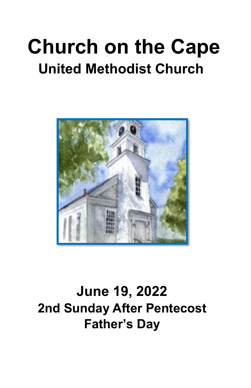# **Church on the Cape United Methodist Church**



**June 19, 2022 2nd Sunday After Pentecost Father's Day**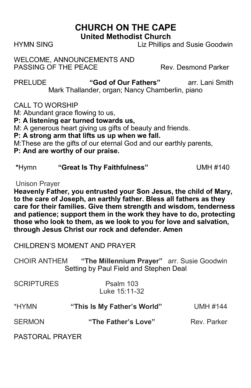#### **CHURCH ON THE CAPE United Methodist Church**

HYMN SINGLiz Phillips and Susie Goodwin

WELCOME, ANNOUNCEMENTS AND PASSING OF THE PEACE Rev. Desmond Parker

PRELUDE **"God of Our Fathers"** arr. Lani Smith Mark Thallander, organ; Nancy Chamberlin, piano

CALL TO WORSHIP

M: Abundant grace flowing to us,

**P: A listening ear turned towards us,**

M: A generous heart giving us gifts of beauty and friends.

**P: A strong arm that lifts us up when we fall.**

M:These are the gifts of our eternal God and our earthly parents,

#### **P: And are worthy of our praise.**

| *Hymn | "Great Is Thy Faithfulness" | <b>UMH #140</b> |
|-------|-----------------------------|-----------------|
|-------|-----------------------------|-----------------|

Unison Prayer

**Heavenly Father, you entrusted your Son Jesus, the child of Mary, to the care of Joseph, an earthly father. Bless all fathers as they care for their families. Give them strength and wisdom, tenderness and patience; support them in the work they have to do, protecting those who look to them, as we look to you for love and salvation, through Jesus Christ our rock and defender. Amen**

CHILDREN'S MOMENT AND PRAYER

CHOIR ANTHEM **"The Millennium Prayer"** arr. Susie Goodwin Setting by Paul Field and Stephen Deal

| <b>SCRIPTURES</b> | Psalm 103<br>Luke 15:11-32  |                 |
|-------------------|-----------------------------|-----------------|
| *HYMN             | "This Is My Father's World" | <b>UMH #144</b> |
| <b>SERMON</b>     | "The Father's Love"         | Rev. Parker     |
|                   |                             |                 |

PASTORAL PRAYER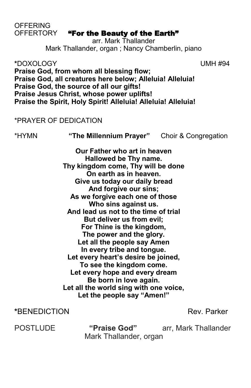# OFFERTORY "For the Beauty of the Earth"

arr. Mark Thallander Mark Thallander, organ ; Nancy Chamberlin, piano

**\***DOXOLOGY UMH #94 **Praise God, from whom all blessing flow; Praise God, all creatures here below; Alleluia! Alleluia! Praise God, the source of all our gifts! Praise Jesus Christ, whose power uplifts! Praise the Spirit, Holy Spirit! Alleluia! Alleluia! Alleluia!**

#### \*PRAYER OF DEDICATION

\*HYMN **"The Millennium Prayer"** Choir & Congregation

**Our Father who art in heaven Hallowed be Thy name. Thy kingdom come, Thy will be done On earth as in heaven. Give us today our daily bread And forgive our sins; As we forgive each one of those Who sins against us. And lead us not to the time of trial But deliver us from evil; For Thine is the kingdom, The power and the glory. Let all the people say Amen In every tribe and tongue. Let every heart's desire be joined, To see the kingdom come. Let every hope and every dream Be born in love again. Let all the world sing with one voice, Let the people say "Amen!"**

#### **\***BENEDICTION Rev. Parker

POSTLUDE **"Praise God"** arr, Mark Thallander Mark Thallander, organ

# **OFFERING**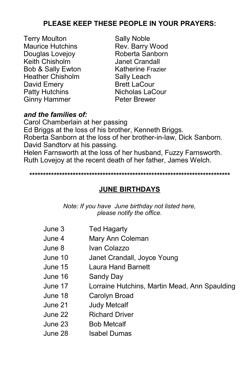#### **PLEASE KEEP THESE PEOPLE IN YOUR PRAYERS:**

- Terry Moulton Sally Noble Maurice Hutchins Rev. Barry Wood Douglas Lovejov **Roberta Sanborn** Keith Chisholm Janet Crandall Bob & Sally Ewton Katherine Frazier Heather Chisholm Sally Leach David Emery Patty Hutchins Nicholas LaCour Ginny Hammer Peter Brewer
- 

#### *and the families of:*

Carol Chamberlain at her passing Ed Briggs at the loss of his brother, Kenneth Briggs. Roberta Sanborn at the loss of her brother-in-law, Dick Sanborn. David Sandtorv at his passing. Helen Farnsworth at the loss of her husband, Fuzzy Farnsworth. Ruth Lovejoy at the recent death of her father, James Welch.

**\*\*\*\*\*\*\*\*\*\*\*\*\*\*\*\*\*\*\*\*\*\*\*\*\*\*\*\*\*\*\*\*\*\*\*\*\*\*\*\*\*\*\*\*\*\*\*\*\*\*\*\*\*\*\*\*\*\*\*\*\*\*\*\*\*\*\*\*\*\*\*\*\*\***

#### **JUNE BIRTHDAYS**

*Note: If you have June birthday not listed here, please notify the office.*

| June 3  | <b>Ted Hagarty</b>                            |
|---------|-----------------------------------------------|
| June 4  | Mary Ann Coleman                              |
| June 8  | Ivan Colazzo                                  |
| June 10 | Janet Crandall, Joyce Young                   |
| June 15 | <b>Laura Hand Barnett</b>                     |
| June 16 | Sandy Day                                     |
| June 17 | Lorraine Hutchins, Martin Mead, Ann Spaulding |
| June 18 | Carolyn Broad                                 |
| June 21 | <b>Judy Metcalf</b>                           |
| June 22 | <b>Richard Driver</b>                         |
| June 23 | <b>Bob Metcalf</b>                            |
| June 28 | Isabel Dumas                                  |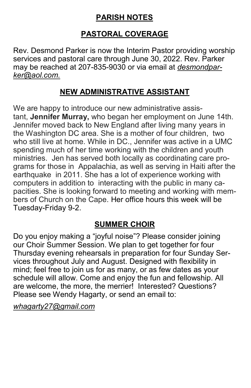## **PARISH NOTES**

# **PASTORAL COVERAGE**

Rev. Desmond Parker is now the Interim Pastor providing worship services and pastoral care through June 30, 2022. Rev. Parker may be reached at 207-835-9030 or via email at *desmondparker@aol.com.*

# **NEW ADMINISTRATIVE ASSISTANT**

We are happy to introduce our new administrative assistant, **Jennifer Murray,** who began her employment on June 14th. Jennifer moved back to New England after living many years in the Washington DC area. She is a mother of four children, two who still live at home. While in DC., Jennifer was active in a UMC spending much of her time working with the children and youth ministries. Jen has served both locally as coordinating care programs for those in Appalachia, as well as serving in Haiti after the earthquake in 2011. She has a lot of experience working with computers in addition to interacting with the public in many capacities. She is looking forward to meeting and working with members of Church on the Cape. Her office hours this week will be Tuesday-Friday 9-2.

### **SUMMER CHOIR**

Do you enjoy making a "joyful noise"? Please consider joining our Choir Summer Session. We plan to get together for four Thursday evening rehearsals in preparation for four Sunday Services throughout July and August. Designed with flexibility in mind; feel free to join us for as many, or as few dates as your schedule will allow. Come and enjoy the fun and fellowship. All are welcome, the more, the merrier! Interested? Questions? Please see Wendy Hagarty, or send an email to:

*whagarty27@gmail.com*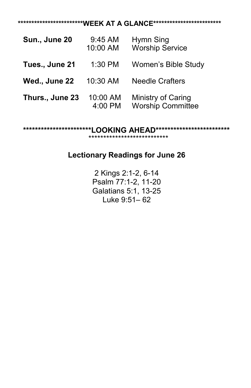#### **\*\*\*\*\*\*\*\*\*\*\*\*\*\*\*\*\*\*\*\*\*\*\*\*WEEK AT A GLANCE\*\*\*\*\*\*\*\*\*\*\*\*\*\*\*\*\*\*\*\*\*\*\*\*\***

| Sun., June 20   | 9:45 AM<br>10:00 AM | Hymn Sing<br><b>Worship Service</b>            |
|-----------------|---------------------|------------------------------------------------|
| Tues., June 21  | 1:30 PM             | Women's Bible Study                            |
| Wed., June 22   | 10:30 AM            | <b>Needle Crafters</b>                         |
| Thurs., June 23 | 10:00 AM<br>4:00 PM | Ministry of Caring<br><b>Worship Committee</b> |

**\*\*\*\*\*\*\*\*\*\*\*\*\*\*\*\*\*\*\*\*\*\*\*LOOKING AHEAD\*\*\*\*\*\*\*\*\*\*\*\*\*\*\*\*\*\*\*\*\*\*\*\*\***

\*\*\*\*\*\*\*\*\*\*\*\*\*\*\*\*\*\*\*\*\*\*\*\*\*\*\*

### **Lectionary Readings for June 26**

2 Kings 2:1-2, 6-14 Psalm 77:1-2, 11-20 Galatians 5:1, 13-25 Luke 9:51– 62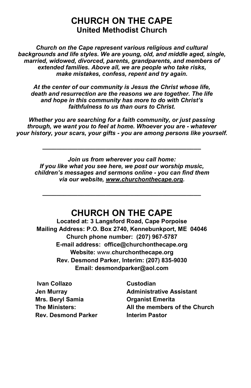#### **CHURCH ON THE CAPE United Methodist Church**

*Church on the Cape represent various religious and cultural backgrounds and life styles. We are young, old, and middle aged, single, married, widowed, divorced, parents, grandparents, and members of extended families. Above all, we are people who take risks, make mistakes, confess, repent and try again.*

*At the center of our community is Jesus the Christ whose life, death and resurrection are the reasons we are together. The life and hope in this community has more to do with Christ's faithfulness to us than ours to Christ.*

*Whether you are searching for a faith community, or just passing through, we want you to feel at home. Whoever you are - whatever your history, your scars, your gifts - you are among persons like yourself.*

*\_\_\_\_\_\_\_\_\_\_\_\_\_\_\_\_\_\_\_\_\_\_\_\_\_\_\_\_\_\_\_\_\_\_\_\_\_\_\_\_\_\_\_\_\_*

*Join us from wherever you call home: If you like what you see here, we post our worship music, children's messages and sermons online - you can find them via our website, www.churchonthecape.org.*

# **CHURCH ON THE CAPE**

*\_\_\_\_\_\_\_\_\_\_\_\_\_\_\_\_\_\_\_\_\_\_\_\_\_\_\_\_\_\_\_\_\_\_\_\_\_\_\_\_\_\_\_\_\_*

**Located at: 3 Langsford Road, Cape Porpoise Mailing Address: P.O. Box 2740, Kennebunkport, ME 04046 Church phone number: (207) 967-5787 E-mail address: office@churchonthecape.org Website:** www.**churchonthecape.org Rev. Desmond Parker, Interim: (207) 835-9030 Email: desmondparker@aol.com**

| <b>Ivan Collazo</b> | Custodian                       |
|---------------------|---------------------------------|
| Jen Murray          | <b>Administrative Assistant</b> |
| Mrs. Beryl Samia    | <b>Organist Emerita</b>         |
| The Ministers:      | All the members of the Church   |
| Rev. Desmond Parker | <b>Interim Pastor</b>           |